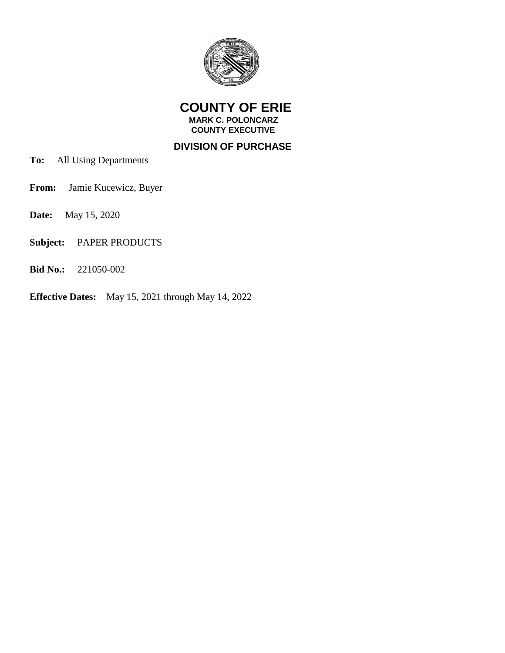

 **COUNTY OF ERIE MARK C. POLONCARZ**

 **COUNTY EXECUTIVE**

 **DIVISION OF PURCHASE**

- **To:** All Using Departments
- **From:** Jamie Kucewicz, Buyer
- **Date:** May 15, 2020
- **Subject:** PAPER PRODUCTS
- **Bid No.:** 221050-002
- **Effective Dates:** May 15, 2021 through May 14, 2022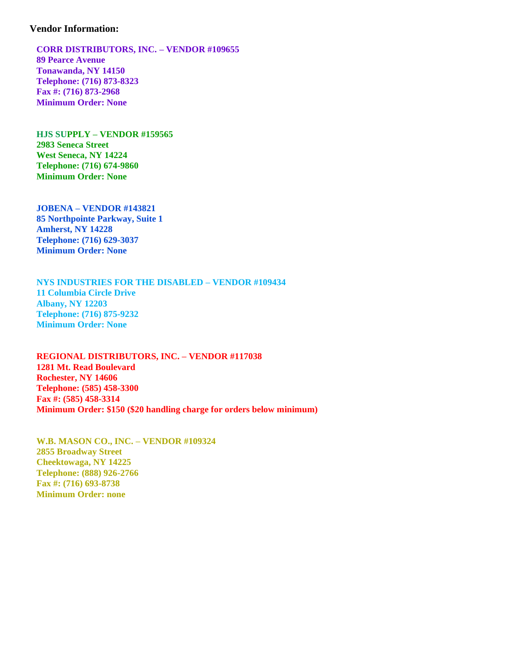## **Vendor Information:**

 **CORR DISTRIBUTORS, INC. – VENDOR #109655 89 Pearce Avenue Tonawanda, NY 14150 Telephone: (716) 873-8323 Fax #: (716) 873-2968 Minimum Order: None**

 **HJS SUPPLY – VENDOR #159565 2983 Seneca Street West Seneca, NY 14224 Telephone: (716) 674-9860 Minimum Order: None**

 **JOBENA – VENDOR #143821 85 Northpointe Parkway, Suite 1 Amherst, NY 14228 Telephone: (716) 629-3037 Minimum Order: None**

 **NYS INDUSTRIES FOR THE DISABLED – VENDOR #109434 11 Columbia Circle Drive Albany, NY 12203 Telephone: (716) 875-9232 Minimum Order: None**

 **REGIONAL DISTRIBUTORS, INC. – VENDOR #117038 1281 Mt. Read Boulevard Rochester, NY 14606 Telephone: (585) 458-3300 Fax #: (585) 458-3314 Minimum Order: \$150 (\$20 handling charge for orders below minimum)**

 **W.B. MASON CO., INC. – VENDOR #109324 2855 Broadway Street Cheektowaga, NY 14225 Telephone: (888) 926-2766 Fax #: (716) 693-8738 Minimum Order: none**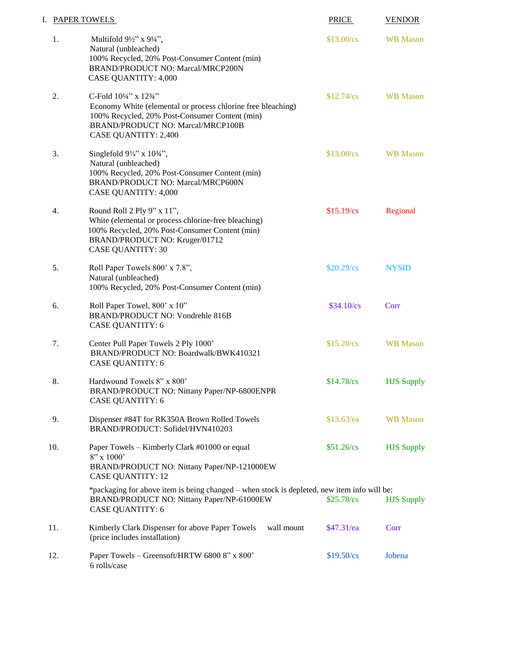| I. PAPER TOWELS |                                                                                                                                                                                                                                                     | <b>PRICE</b>       | <b>VENDOR</b>     |
|-----------------|-----------------------------------------------------------------------------------------------------------------------------------------------------------------------------------------------------------------------------------------------------|--------------------|-------------------|
| 1.              | Multifold $9\frac{1}{2}$ " x $9\frac{1}{4}$ ",<br>Natural (unbleached)<br>100% Recycled, 20% Post-Consumer Content (min)<br>BRAND/PRODUCT NO: Marcal/MRCP200N<br><b>CASE QUANTITY: 4,000</b>                                                        | \$13.00/cs         | <b>WB</b> Mason   |
| 2.              | C-Fold 10 <sup>1</sup> /4" x 12 <sup>3</sup> / <sub>4</sub> "<br>Economy White (elemental or process chlorine free bleaching)<br>100% Recycled, 20% Post-Consumer Content (min)<br>BRAND/PRODUCT NO: Marcal/MRCP100B<br><b>CASE QUANTITY: 2,400</b> | \$12.74/cs         | <b>WB</b> Mason   |
| 3.              | Singlefold $9\frac{3}{8}$ " x $10\frac{3}{4}$ ",<br>Natural (unbleached)<br>100% Recycled, 20% Post-Consumer Content (min)<br>BRAND/PRODUCT NO: Marcal/MRCP600N<br><b>CASE QUANTITY: 4,000</b>                                                      | \$13.00/cs         | <b>WB</b> Mason   |
| 4.              | Round Roll 2 Ply 9" x 11",<br>White (elemental or process chlorine-free bleaching)<br>100% Recycled, 20% Post-Consumer Content (min)<br>BRAND/PRODUCT NO: Kruger/01712<br><b>CASE QUANTITY: 30</b>                                                  | $$15.19$ /cs       | Regional          |
| 5.              | Roll Paper Towels 800' x 7.8",<br>Natural (unbleached)<br>100% Recycled, 20% Post-Consumer Content (min)                                                                                                                                            | \$20.29/cs         | <b>NYSID</b>      |
| 6.              | Roll Paper Towel, 800' x 10"<br>BRAND/PRODUCT NO: Vondrehle 816B<br><b>CASE QUANTITY: 6</b>                                                                                                                                                         | $$34.10\text{/cs}$ | Corr              |
| 7.              | Center Pull Paper Towels 2 Ply 1000'<br>BRAND/PRODUCT NO: Boardwalk/BWK410321<br><b>CASE QUANTITY: 6</b>                                                                                                                                            | $$15.20$ /cs       | <b>WB</b> Mason   |
| 8.              | Hardwound Towels 8" x 800'<br>BRAND/PRODUCT NO: Nittany Paper/NP-6800ENPR<br><b>CASE QUANTITY: 6</b>                                                                                                                                                | $$14.78$ /cs       | <b>HJS Supply</b> |
| 9.              | Dispenser #84T for RK350A Brown Rolled Towels<br>BRAND/PRODUCT: Sofidel/HVN410203                                                                                                                                                                   | $$13.63$ /ea       | <b>WB</b> Mason   |
| 10.             | Paper Towels – Kimberly Clark #01000 or equal<br>$8"$ x 1000'<br>BRAND/PRODUCT NO: Nittany Paper/NP-121000EW<br><b>CASE QUANTITY: 12</b>                                                                                                            | \$51.26/cs         | <b>HJS Supply</b> |
|                 | *packaging for above item is being changed – when stock is depleted, new item info will be:<br>BRAND/PRODUCT NO: Nittany Paper/NP-61000EW<br><b>CASE QUANTITY: 6</b>                                                                                | \$25.78/cs         | <b>HJS Supply</b> |
| 11.             | Kimberly Clark Dispenser for above Paper Towels<br>wall mount<br>(price includes installation)                                                                                                                                                      | \$47.31/ea         | Corr              |
| 12.             | Paper Towels - Greensoft/HRTW 6800 8" x 800"<br>6 rolls/case                                                                                                                                                                                        | \$19.50/cs         | Jobena            |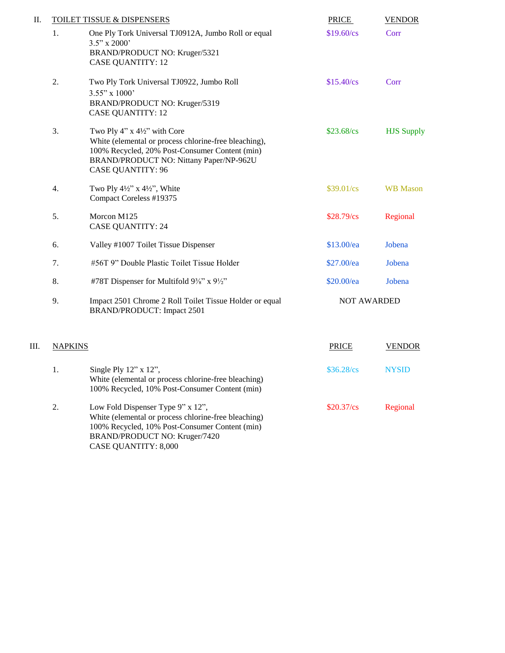| II. | <b>TOILET TISSUE &amp; DISPENSERS</b> |                                                                                                                                                                                                                | <b>PRICE</b>       | <b>VENDOR</b>     |
|-----|---------------------------------------|----------------------------------------------------------------------------------------------------------------------------------------------------------------------------------------------------------------|--------------------|-------------------|
|     | 1.                                    | One Ply Tork Universal TJ0912A, Jumbo Roll or equal<br>$3.5$ " x 2000'<br>BRAND/PRODUCT NO: Kruger/5321<br><b>CASE QUANTITY: 12</b>                                                                            | \$19.60/cs         | Corr              |
|     | 2.                                    | Two Ply Tork Universal TJ0922, Jumbo Roll<br>$3.55"$ x 1000'<br>BRAND/PRODUCT NO: Kruger/5319<br><b>CASE QUANTITY: 12</b>                                                                                      | $$15.40$ /cs       | Corr              |
|     | 3.                                    | Two Ply 4" $x$ 4½" with Core<br>White (elemental or process chlorine-free bleaching),<br>100% Recycled, 20% Post-Consumer Content (min)<br>BRAND/PRODUCT NO: Nittany Paper/NP-962U<br><b>CASE QUANTITY: 96</b> | \$23.68/cs         | <b>HJS Supply</b> |
|     | $\overline{4}$ .                      | Two Ply $4\frac{1}{2}$ " x $4\frac{1}{2}$ ", White<br>Compact Coreless #19375                                                                                                                                  | \$39.01/cs         | <b>WB</b> Mason   |
|     | 5.                                    | Morcon M125<br><b>CASE QUANTITY: 24</b>                                                                                                                                                                        | \$28.79/cs         | Regional          |
|     | 6.                                    | Valley #1007 Toilet Tissue Dispenser                                                                                                                                                                           | $$13.00$ /ea       | Jobena            |
|     | 7.                                    | #56T 9" Double Plastic Toilet Tissue Holder                                                                                                                                                                    | \$27.00/ea         | Jobena            |
|     | 8.                                    | #78T Dispenser for Multifold 9%" x 9½"                                                                                                                                                                         | \$20.00/ea         | Jobena            |
|     | 9.                                    | Impact 2501 Chrome 2 Roll Toilet Tissue Holder or equal<br>BRAND/PRODUCT: Impact 2501                                                                                                                          | <b>NOT AWARDED</b> |                   |
| Ш.  | <b>NAPKINS</b>                        |                                                                                                                                                                                                                | PRICE              | <b>VENDOR</b>     |
|     | 1.                                    | Single Ply $12$ " x $12$ ",                                                                                                                                                                                    | \$36.28/cs         | <b>NYSID</b>      |

2. Low Fold Dispenser Type 9" x 12", \$20.37/cs Regional White (elemental or process chlorine-free bleaching) 100% Recycled, 10% Post-Consumer Content (min) BRAND/PRODUCT NO: Kruger/7420 CASE QUANTITY: 8,000

 White (elemental or process chlorine-free bleaching) 100% Recycled, 10% Post-Consumer Content (min)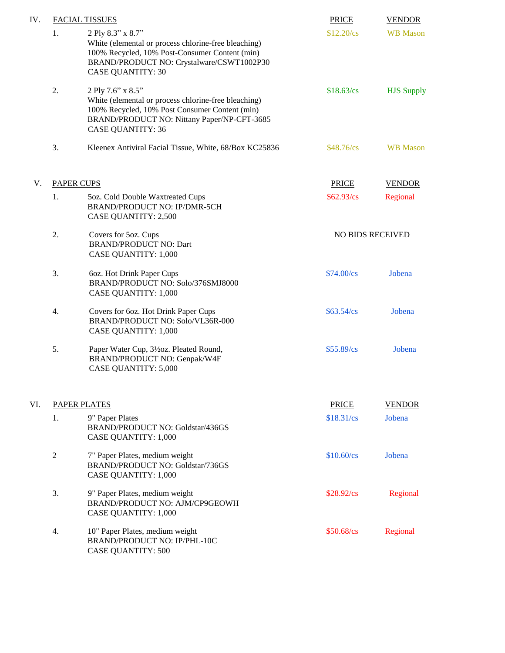| IV. |                     | <b>FACIAL TISSUES</b>                                                                                                                                                                                  | <b>PRICE</b>            | <b>VENDOR</b>     |
|-----|---------------------|--------------------------------------------------------------------------------------------------------------------------------------------------------------------------------------------------------|-------------------------|-------------------|
|     | 1.                  | 2 Ply 8.3" x 8.7"<br>White (elemental or process chlorine-free bleaching)<br>100% Recycled, 10% Post-Consumer Content (min)<br>BRAND/PRODUCT NO: Crystalware/CSWT1002P30<br><b>CASE QUANTITY: 30</b>   | $$12.20$ /cs            | <b>WB</b> Mason   |
|     | 2.                  | 2 Ply 7.6" x 8.5"<br>White (elemental or process chlorine-free bleaching)<br>100% Recycled, 10% Post Consumer Content (min)<br>BRAND/PRODUCT NO: Nittany Paper/NP-CFT-3685<br><b>CASE QUANTITY: 36</b> | \$18.63/cs              | <b>HJS Supply</b> |
|     | 3.                  | Kleenex Antiviral Facial Tissue, White, 68/Box KC25836                                                                                                                                                 | $$48.76$ /cs            | <b>WB</b> Mason   |
| V.  |                     | <b>PAPER CUPS</b>                                                                                                                                                                                      | <b>PRICE</b>            | <b>VENDOR</b>     |
|     | 1.                  | 5oz. Cold Double Waxtreated Cups<br>BRAND/PRODUCT NO: IP/DMR-5CH<br><b>CASE QUANTITY: 2,500</b>                                                                                                        | \$62.93/cs              | Regional          |
|     | 2.                  | Covers for 5oz. Cups<br><b>BRAND/PRODUCT NO: Dart</b><br><b>CASE QUANTITY: 1,000</b>                                                                                                                   | <b>NO BIDS RECEIVED</b> |                   |
|     | 3.                  | 60z. Hot Drink Paper Cups<br>BRAND/PRODUCT NO: Solo/376SMJ8000<br><b>CASE QUANTITY: 1,000</b>                                                                                                          | \$74.00/cs              | Jobena            |
|     | 4.                  | Covers for 6oz. Hot Drink Paper Cups<br>BRAND/PRODUCT NO: Solo/VL36R-000<br><b>CASE QUANTITY: 1,000</b>                                                                                                | \$63.54/cs              | Jobena            |
|     | 5.                  | Paper Water Cup, 31/20z. Pleated Round,<br>BRAND/PRODUCT NO: Genpak/W4F<br><b>CASE QUANTITY: 5,000</b>                                                                                                 | \$55.89/cs              | Jobena            |
| VI. | <b>PAPER PLATES</b> |                                                                                                                                                                                                        | <b>PRICE</b>            | <b>VENDOR</b>     |
|     | 1.                  | 9" Paper Plates<br><b>BRAND/PRODUCT NO: Goldstar/436GS</b><br><b>CASE QUANTITY: 1,000</b>                                                                                                              | \$18.31/cs              | Jobena            |
|     | $\overline{c}$      | 7" Paper Plates, medium weight<br>BRAND/PRODUCT NO: Goldstar/736GS<br><b>CASE QUANTITY: 1,000</b>                                                                                                      | $$10.60$ /cs            | Jobena            |
|     | 3.                  | 9" Paper Plates, medium weight<br>BRAND/PRODUCT NO: AJM/CP9GEOWH<br><b>CASE QUANTITY: 1,000</b>                                                                                                        | $$28.92/\text{cs}$      | Regional          |
|     | 4.                  | 10" Paper Plates, medium weight<br>BRAND/PRODUCT NO: IP/PHL-10C<br><b>CASE QUANTITY: 500</b>                                                                                                           | \$50.68/cs              | Regional          |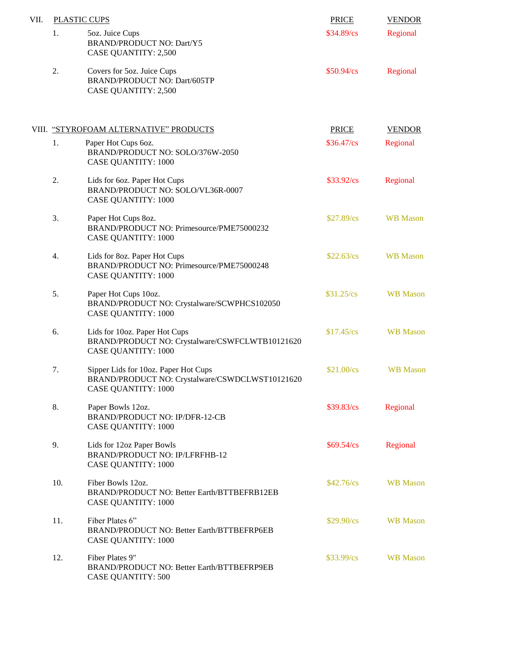| VII. | <b>PLASTIC CUPS</b> |                                                                                                                       | <b>PRICE</b>       | <b>VENDOR</b>   |
|------|---------------------|-----------------------------------------------------------------------------------------------------------------------|--------------------|-----------------|
|      | 1.                  | 5oz. Juice Cups<br><b>BRAND/PRODUCT NO: Dart/Y5</b><br><b>CASE QUANTITY: 2,500</b>                                    | \$34.89/cs         | Regional        |
|      | 2.                  | Covers for 5oz. Juice Cups<br>BRAND/PRODUCT NO: Dart/605TP<br><b>CASE QUANTITY: 2,500</b>                             | \$50.94/cs         | Regional        |
|      |                     | VIII. "STYROFOAM ALTERNATIVE" PRODUCTS                                                                                | <b>PRICE</b>       | <b>VENDOR</b>   |
|      | 1.                  | Paper Hot Cups 6oz.<br>BRAND/PRODUCT NO: SOLO/376W-2050<br><b>CASE QUANTITY: 1000</b>                                 | \$36.47/cs         | Regional        |
|      | 2.                  | Lids for 6oz. Paper Hot Cups<br>BRAND/PRODUCT NO: SOLO/VL36R-0007<br><b>CASE QUANTITY: 1000</b>                       | \$33.92/cs         | Regional        |
|      | 3.                  | Paper Hot Cups 8oz.<br>BRAND/PRODUCT NO: Primesource/PME75000232<br><b>CASE QUANTITY: 1000</b>                        | \$27.89/cs         | <b>WB</b> Mason |
|      | 4.                  | Lids for 8oz. Paper Hot Cups<br>BRAND/PRODUCT NO: Primesource/PME75000248<br><b>CASE QUANTITY: 1000</b>               | \$22.63/cs         | <b>WB</b> Mason |
|      | 5.                  | Paper Hot Cups 10oz.<br>BRAND/PRODUCT NO: Crystalware/SCWPHCS102050<br><b>CASE QUANTITY: 1000</b>                     | \$31.25/cs         | <b>WB</b> Mason |
|      | 6.                  | Lids for 10oz. Paper Hot Cups<br>BRAND/PRODUCT NO: Crystalware/CSWFCLWTB10121620<br><b>CASE QUANTITY: 1000</b>        | \$17.45/cs         | <b>WB</b> Mason |
|      | 7.                  | Sipper Lids for 10oz. Paper Hot Cups<br>BRAND/PRODUCT NO: Crystalware/CSWDCLWST10121620<br><b>CASE QUANTITY: 1000</b> | \$21.00/cs         | <b>WB</b> Mason |
|      | 8.                  | Paper Bowls 12oz.<br><b>BRAND/PRODUCT NO: IP/DFR-12-CB</b><br><b>CASE QUANTITY: 1000</b>                              | \$39.83/cs         | Regional        |
|      | 9.                  | Lids for 12oz Paper Bowls<br><b>BRAND/PRODUCT NO: IP/LFRFHB-12</b><br><b>CASE QUANTITY: 1000</b>                      | \$69.54/cs         | Regional        |
|      | 10.                 | Fiber Bowls 12oz.<br>BRAND/PRODUCT NO: Better Earth/BTTBEFRB12EB<br><b>CASE QUANTITY: 1000</b>                        | $$42.76/\text{cs}$ | <b>WB</b> Mason |
|      | 11.                 | Fiber Plates 6"<br>BRAND/PRODUCT NO: Better Earth/BTTBEFRP6EB<br><b>CASE QUANTITY: 1000</b>                           | \$29.90/cs         | <b>WB</b> Mason |
|      | 12.                 | Fiber Plates 9"<br>BRAND/PRODUCT NO: Better Earth/BTTBEFRP9EB<br><b>CASE QUANTITY: 500</b>                            | \$33.99/cs         | <b>WB</b> Mason |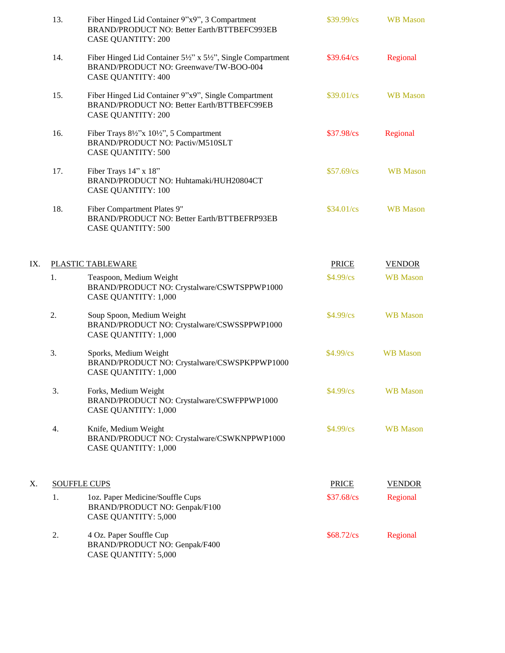|     | 13.                 | Fiber Hinged Lid Container 9"x9", 3 Compartment<br>BRAND/PRODUCT NO: Better Earth/BTTBEFC993EB<br><b>CASE QUANTITY: 200</b>     | $$39.99/\text{cs}$ | <b>WB</b> Mason |
|-----|---------------------|---------------------------------------------------------------------------------------------------------------------------------|--------------------|-----------------|
|     | 14.                 | Fiber Hinged Lid Container 5½" x 5½", Single Compartment<br>BRAND/PRODUCT NO: Greenwave/TW-BOO-004<br><b>CASE QUANTITY: 400</b> | \$39.64/cs         | Regional        |
|     | 15.                 | Fiber Hinged Lid Container 9"x9", Single Compartment<br>BRAND/PRODUCT NO: Better Earth/BTTBEFC99EB<br><b>CASE QUANTITY: 200</b> | $$39.01/\text{cs}$ | <b>WB</b> Mason |
|     | 16.                 | Fiber Trays 8½"x 10½", 5 Compartment<br>BRAND/PRODUCT NO: Pactiv/M510SLT<br><b>CASE QUANTITY: 500</b>                           | \$37.98/cs         | Regional        |
|     | 17.                 | Fiber Trays 14" x 18"<br>BRAND/PRODUCT NO: Huhtamaki/HUH20804CT<br><b>CASE QUANTITY: 100</b>                                    | \$57.69/cs         | <b>WB</b> Mason |
|     | 18.                 | Fiber Compartment Plates 9"<br>BRAND/PRODUCT NO: Better Earth/BTTBEFRP93EB<br><b>CASE QUANTITY: 500</b>                         | $$34.01/\text{cs}$ | <b>WB</b> Mason |
| IX. |                     | PLASTIC TABLEWARE                                                                                                               | <b>PRICE</b>       | <b>VENDOR</b>   |
|     | 1.                  | Teaspoon, Medium Weight<br>BRAND/PRODUCT NO: Crystalware/CSWTSPPWP1000<br><b>CASE QUANTITY: 1,000</b>                           | \$4.99/cs          | <b>WB</b> Mason |
|     | 2.                  | Soup Spoon, Medium Weight<br>BRAND/PRODUCT NO: Crystalware/CSWSSPPWP1000<br><b>CASE QUANTITY: 1,000</b>                         | $$4.99$ /cs        | <b>WB</b> Mason |
|     | 3.                  | Sporks, Medium Weight<br>BRAND/PRODUCT NO: Crystalware/CSWSPKPPWP1000<br><b>CASE QUANTITY: 1,000</b>                            | $$4.99$ /cs        | <b>WB</b> Mason |
|     | 3.                  | Forks, Medium Weight<br>BRAND/PRODUCT NO: Crystalware/CSWFPPWP1000<br><b>CASE QUANTITY: 1,000</b>                               | $$4.99$ /cs        | <b>WB</b> Mason |
|     | 4.                  | Knife, Medium Weight<br>BRAND/PRODUCT NO: Crystalware/CSWKNPPWP1000<br><b>CASE QUANTITY: 1,000</b>                              | $$4.99$ /cs        | <b>WB</b> Mason |
| Х.  | <b>SOUFFLE CUPS</b> |                                                                                                                                 | <b>PRICE</b>       | <b>VENDOR</b>   |
|     | 1.                  | 1oz. Paper Medicine/Souffle Cups<br>BRAND/PRODUCT NO: Genpak/F100<br><b>CASE QUANTITY: 5,000</b>                                | \$37.68/cs         | Regional        |
|     | 2.                  | 4 Oz. Paper Souffle Cup<br>BRAND/PRODUCT NO: Genpak/F400<br><b>CASE QUANTITY: 5,000</b>                                         | $$68.72/\text{cs}$ | Regional        |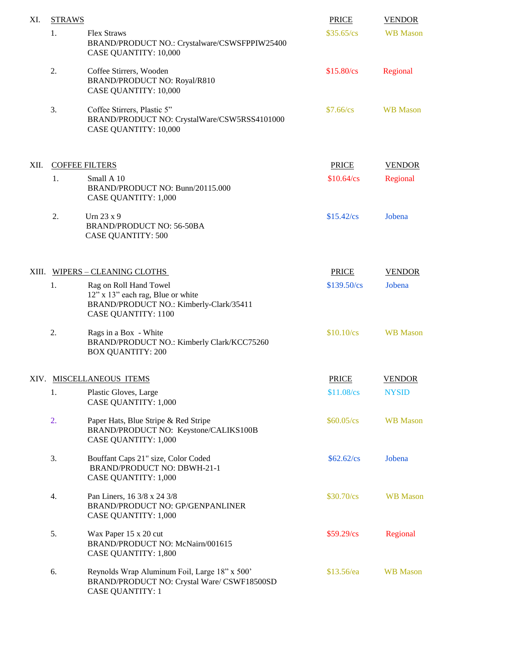| XI.   | <b>STRAWS</b>            |                                                                                                                                      | <b>PRICE</b>        | <b>VENDOR</b>   |
|-------|--------------------------|--------------------------------------------------------------------------------------------------------------------------------------|---------------------|-----------------|
|       | 1.                       | <b>Flex Straws</b><br>BRAND/PRODUCT NO.: Crystalware/CSWSFPPIW25400<br>CASE QUANTITY: 10,000                                         | \$35.65/cs          | <b>WB</b> Mason |
|       | 2.                       | Coffee Stirrers, Wooden<br>BRAND/PRODUCT NO: Royal/R810<br>CASE QUANTITY: 10,000                                                     | \$15.80/cs          | Regional        |
|       | 3.                       | Coffee Stirrers, Plastic 5"<br>BRAND/PRODUCT NO: CrystalWare/CSW5RSS4101000<br><b>CASE QUANTITY: 10,000</b>                          | $$7.66$ /cs         | <b>WB</b> Mason |
| XII.  | <b>COFFEE FILTERS</b>    |                                                                                                                                      | <b>PRICE</b>        | <b>VENDOR</b>   |
|       | 1.                       | Small A 10<br>BRAND/PRODUCT NO: Bunn/20115.000<br><b>CASE QUANTITY: 1,000</b>                                                        | \$10.64/cs          | Regional        |
|       | 2.                       | Urn $23 \times 9$<br><b>BRAND/PRODUCT NO: 56-50BA</b><br><b>CASE QUANTITY: 500</b>                                                   | \$15.42/cs          | Jobena          |
| XIII. |                          | WIPERS - CLEANING CLOTHS                                                                                                             | <b>PRICE</b>        | <b>VENDOR</b>   |
|       | 1.                       | Rag on Roll Hand Towel<br>12" x 13" each rag, Blue or white<br>BRAND/PRODUCT NO.: Kimberly-Clark/35411<br><b>CASE QUANTITY: 1100</b> | \$139.50/cs         | Jobena          |
|       | 2.                       | Rags in a Box - White<br>BRAND/PRODUCT NO.: Kimberly Clark/KCC75260<br><b>BOX QUANTITY: 200</b>                                      | $$10.10$ /cs        | <b>WB</b> Mason |
|       | XIV. MISCELLANEOUS ITEMS |                                                                                                                                      | <b>PRICE</b>        | <b>VENDOR</b>   |
|       | 1.                       | Plastic Gloves, Large<br><b>CASE QUANTITY: 1,000</b>                                                                                 | $$11.08$ /cs        | <b>NYSID</b>    |
|       | 2.                       | Paper Hats, Blue Stripe & Red Stripe<br>BRAND/PRODUCT NO: Keystone/CALIKS100B<br><b>CASE QUANTITY: 1,000</b>                         | $$60.05/\text{cs}$$ | <b>WB</b> Mason |
|       | 3.                       | Bouffant Caps 21" size, Color Coded<br><b>BRAND/PRODUCT NO: DBWH-21-1</b><br><b>CASE QUANTITY: 1,000</b>                             | \$62.62/cs          | Jobena          |
|       | 4.                       | Pan Liners, 16 3/8 x 24 3/8<br>BRAND/PRODUCT NO: GP/GENPANLINER<br><b>CASE QUANTITY: 1,000</b>                                       | $$30.70$ /cs        | <b>WB</b> Mason |
|       | 5.                       | Wax Paper 15 x 20 cut<br>BRAND/PRODUCT NO: McNairn/001615<br><b>CASE QUANTITY: 1,800</b>                                             | \$59.29/cs          | Regional        |
|       | 6.                       | Reynolds Wrap Aluminum Foil, Large 18" x 500'<br>BRAND/PRODUCT NO: Crystal Ware/ CSWF18500SD<br><b>CASE QUANTITY: 1</b>              | $$13.56$ /ea        | <b>WB</b> Mason |